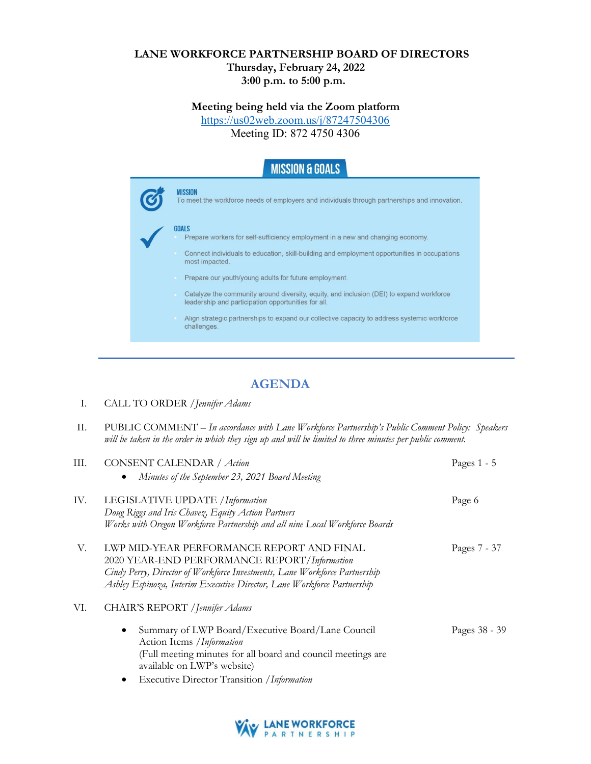## **LANE WORKFORCE PARTNERSHIP BOARD OF DIRECTORS Thursday, February 24, 2022 3:00 p.m. to 5:00 p.m.**

## **Meeting being held via the Zoom platform**

<https://us02web.zoom.us/j/87247504306>

Meeting ID: 872 4750 4306

| <b>MISSION &amp; GOALS</b>                                                                                                                      |
|-------------------------------------------------------------------------------------------------------------------------------------------------|
| <b>MISSION</b><br>To meet the workforce needs of employers and individuals through partnerships and innovation.                                 |
| <b>GOALS</b><br>Prepare workers for self-sufficiency employment in a new and changing economy.                                                  |
| Connect individuals to education, skill-building and employment opportunities in occupations<br>most impacted.                                  |
| Prepare our youth/young adults for future employment.                                                                                           |
| Catalyze the community around diversity, equity, and inclusion (DEI) to expand workforce<br>leadership and participation opportunities for all. |
| Align strategic partnerships to expand our collective capacity to address systemic workforce<br>challenges.                                     |
|                                                                                                                                                 |

## **AGENDA**

- I. CALL TO ORDER /*Jennifer Adams*
- II. PUBLIC COMMENT *In accordance with Lane Workforce Partnership's Public Comment Policy: Speakers will be taken in the order in which they sign up and will be limited to three minutes per public comment.*

| Ш.  | CONSENT CALENDAR / Action<br>Minutes of the September 23, 2021 Board Meeting                                                                                                                                                                       | Pages $1 - 5$ |
|-----|----------------------------------------------------------------------------------------------------------------------------------------------------------------------------------------------------------------------------------------------------|---------------|
| IV. | LEGISLATIVE UPDATE / Information<br>Doug Riggs and Iris Chavez, Equity Action Partners<br>Works with Oregon Workforce Partnership and all nine Local Workforce Boards                                                                              | Page 6        |
| V.  | LWP MID-YEAR PERFORMANCE REPORT AND FINAL<br>2020 YEAR-END PERFORMANCE REPORT/Information<br>Cindy Perry, Director of Workforce Investments, Lane Workforce Partnership<br>Ashley Espinoza, Interim Executive Director, Lane Workforce Partnership | Pages 7 - 37  |
| VI. | CHAIR'S REPORT / Jennifer Adams<br>Summary of LWP Board/Executive Board/Lane Council<br>Action Items / Information                                                                                                                                 | Pages 38 - 39 |
|     | (Full meeting minutes for all board and council meetings are<br>available on LWP's website)<br><b>Executive Director Transition /Information</b><br>٠                                                                                              |               |